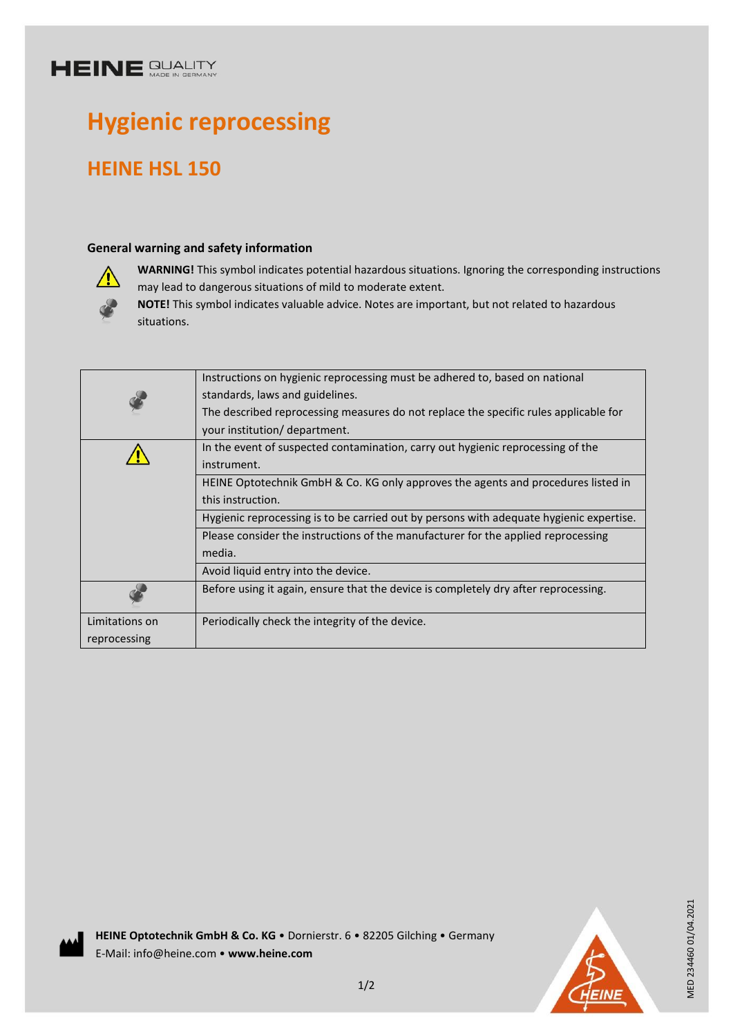## **HEINE SUALITY**

# **Hygienic reprocessing**

### **HEINE HSL 150**

#### **General warning and safety information**



**WARNING!** This symbol indicates potential hazardous situations. Ignoring the corresponding instructions may lead to dangerous situations of mild to moderate extent.

**NOTE!** This symbol indicates valuable advice. Notes are important, but not related to hazardous situations.

|                | Instructions on hygienic reprocessing must be adhered to, based on national             |
|----------------|-----------------------------------------------------------------------------------------|
|                | standards, laws and guidelines.                                                         |
|                | The described reprocessing measures do not replace the specific rules applicable for    |
|                | your institution/ department.                                                           |
|                | In the event of suspected contamination, carry out hygienic reprocessing of the         |
|                | instrument.                                                                             |
|                | HEINE Optotechnik GmbH & Co. KG only approves the agents and procedures listed in       |
|                | this instruction.                                                                       |
|                | Hygienic reprocessing is to be carried out by persons with adequate hygienic expertise. |
|                | Please consider the instructions of the manufacturer for the applied reprocessing       |
|                | media.                                                                                  |
|                | Avoid liquid entry into the device.                                                     |
|                | Before using it again, ensure that the device is completely dry after reprocessing.     |
| Limitations on | Periodically check the integrity of the device.                                         |
| reprocessing   |                                                                                         |